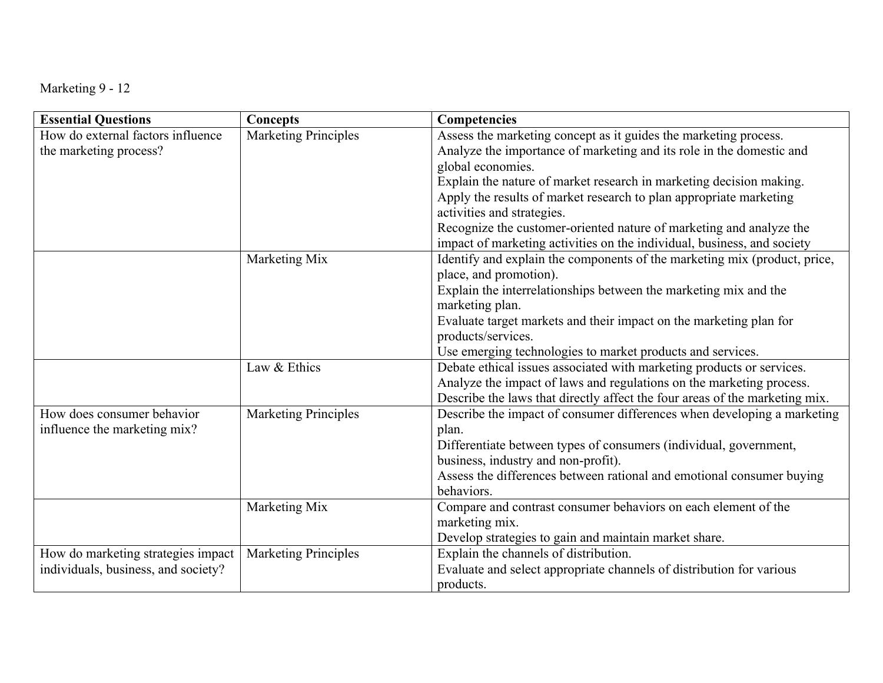| Marketing 9 - 12 |  |  |  |
|------------------|--|--|--|
|------------------|--|--|--|

| <b>Essential Questions</b>          | Concepts                    | Competencies                                                                |
|-------------------------------------|-----------------------------|-----------------------------------------------------------------------------|
| How do external factors influence   | <b>Marketing Principles</b> | Assess the marketing concept as it guides the marketing process.            |
| the marketing process?              |                             | Analyze the importance of marketing and its role in the domestic and        |
|                                     |                             | global economies.                                                           |
|                                     |                             | Explain the nature of market research in marketing decision making.         |
|                                     |                             | Apply the results of market research to plan appropriate marketing          |
|                                     |                             | activities and strategies.                                                  |
|                                     |                             | Recognize the customer-oriented nature of marketing and analyze the         |
|                                     |                             | impact of marketing activities on the individual, business, and society     |
|                                     | Marketing Mix               | Identify and explain the components of the marketing mix (product, price,   |
|                                     |                             | place, and promotion).                                                      |
|                                     |                             | Explain the interrelationships between the marketing mix and the            |
|                                     |                             | marketing plan.                                                             |
|                                     |                             | Evaluate target markets and their impact on the marketing plan for          |
|                                     |                             | products/services.                                                          |
|                                     |                             | Use emerging technologies to market products and services.                  |
|                                     | Law & Ethics                | Debate ethical issues associated with marketing products or services.       |
|                                     |                             | Analyze the impact of laws and regulations on the marketing process.        |
|                                     |                             | Describe the laws that directly affect the four areas of the marketing mix. |
| How does consumer behavior          | <b>Marketing Principles</b> | Describe the impact of consumer differences when developing a marketing     |
| influence the marketing mix?        |                             | plan.                                                                       |
|                                     |                             | Differentiate between types of consumers (individual, government,           |
|                                     |                             | business, industry and non-profit).                                         |
|                                     |                             | Assess the differences between rational and emotional consumer buying       |
|                                     |                             | behaviors.                                                                  |
|                                     | Marketing Mix               | Compare and contrast consumer behaviors on each element of the              |
|                                     |                             | marketing mix.                                                              |
|                                     |                             | Develop strategies to gain and maintain market share.                       |
| How do marketing strategies impact  | <b>Marketing Principles</b> | Explain the channels of distribution.                                       |
| individuals, business, and society? |                             | Evaluate and select appropriate channels of distribution for various        |
|                                     |                             | products.                                                                   |